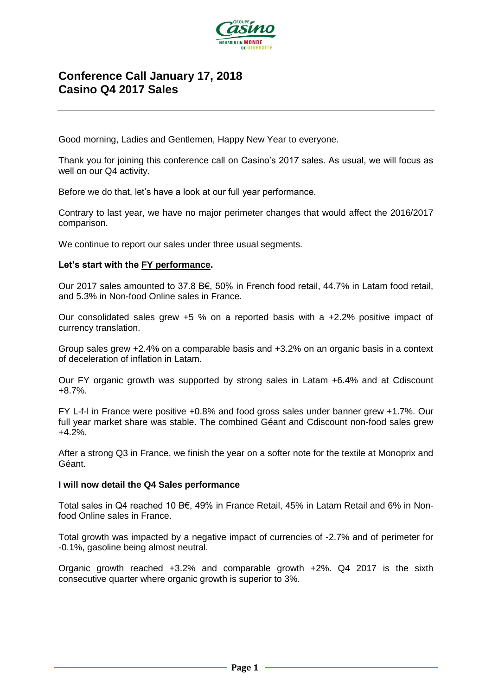

# **Conference Call January 17, 2018 Casino Q4 2017 Sales**

Good morning, Ladies and Gentlemen, Happy New Year to everyone.

Thank you for joining this conference call on Casino's 2017 sales. As usual, we will focus as well on our Q4 activity.

Before we do that, let's have a look at our full year performance.

Contrary to last year, we have no major perimeter changes that would affect the 2016/2017 comparison.

We continue to report our sales under three usual segments.

### **Let's start with the FY performance.**

Our 2017 sales amounted to 37.8 B€, 50% in French food retail, 44.7% in Latam food retail, and 5.3% in Non-food Online sales in France.

Our consolidated sales grew +5 % on a reported basis with a +2.2% positive impact of currency translation.

Group sales grew +2.4% on a comparable basis and +3.2% on an organic basis in a context of deceleration of inflation in Latam.

Our FY organic growth was supported by strong sales in Latam +6.4% and at Cdiscount +8.7%.

FY L-f-l in France were positive +0.8% and food gross sales under banner grew +1.7%. Our full year market share was stable. The combined Géant and Cdiscount non-food sales grew +4.2%.

After a strong Q3 in France, we finish the year on a softer note for the textile at Monoprix and Géant.

#### **I will now detail the Q4 Sales performance**

Total sales in Q4 reached 10 B€, 49% in France Retail, 45% in Latam Retail and 6% in Nonfood Online sales in France.

Total growth was impacted by a negative impact of currencies of -2.7% and of perimeter for -0.1%, gasoline being almost neutral.

Organic growth reached +3.2% and comparable growth +2%. Q4 2017 is the sixth consecutive quarter where organic growth is superior to 3%.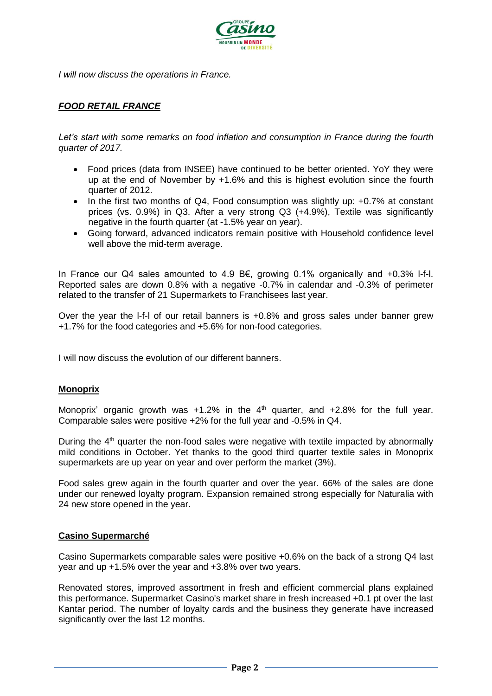

*I will now discuss the operations in France.*

# *FOOD RETAIL FRANCE*

*Let's start with some remarks on food inflation and consumption in France during the fourth quarter of 2017.*

- Food prices (data from INSEE) have continued to be better oriented. YoY they were up at the end of November by +1.6% and this is highest evolution since the fourth quarter of 2012.
- In the first two months of Q4, Food consumption was slightly up: +0.7% at constant prices (vs. 0.9%) in Q3. After a very strong Q3 (+4.9%), Textile was significantly negative in the fourth quarter (at -1.5% year on year).
- Going forward, advanced indicators remain positive with Household confidence level well above the mid-term average.

In France our Q4 sales amounted to 4.9 B€, growing 0.1% organically and +0,3% l-f-l. Reported sales are down 0.8% with a negative -0.7% in calendar and -0.3% of perimeter related to the transfer of 21 Supermarkets to Franchisees last year.

Over the year the l-f-l of our retail banners is +0.8% and gross sales under banner grew +1.7% for the food categories and +5.6% for non-food categories.

I will now discuss the evolution of our different banners.

# **Monoprix**

Monoprix' organic growth was  $+1.2\%$  in the  $4<sup>th</sup>$  quarter, and  $+2.8\%$  for the full year. Comparable sales were positive +2% for the full year and -0.5% in Q4.

During the  $4<sup>th</sup>$  quarter the non-food sales were negative with textile impacted by abnormally mild conditions in October. Yet thanks to the good third quarter textile sales in Monoprix supermarkets are up year on year and over perform the market (3%).

Food sales grew again in the fourth quarter and over the year. 66% of the sales are done under our renewed loyalty program. Expansion remained strong especially for Naturalia with 24 new store opened in the year.

#### **Casino Supermarché**

Casino Supermarkets comparable sales were positive +0.6% on the back of a strong Q4 last year and up +1.5% over the year and +3.8% over two years.

Renovated stores, improved assortment in fresh and efficient commercial plans explained this performance. Supermarket Casino's market share in fresh increased +0.1 pt over the last Kantar period. The number of loyalty cards and the business they generate have increased significantly over the last 12 months.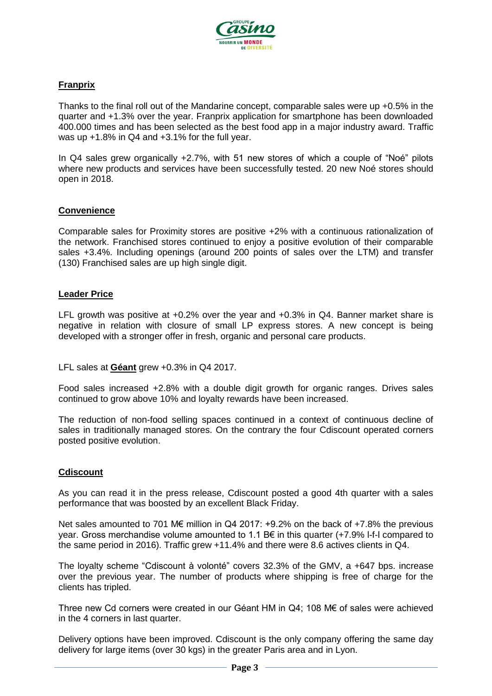

# **Franprix**

Thanks to the final roll out of the Mandarine concept, comparable sales were up +0.5% in the quarter and +1.3% over the year. Franprix application for smartphone has been downloaded 400.000 times and has been selected as the best food app in a major industry award. Traffic was up +1.8% in Q4 and +3.1% for the full year.

In Q4 sales grew organically +2.7%, with 51 new stores of which a couple of "Noé" pilots where new products and services have been successfully tested. 20 new Noé stores should open in 2018.

# **Convenience**

Comparable sales for Proximity stores are positive +2% with a continuous rationalization of the network. Franchised stores continued to enjoy a positive evolution of their comparable sales +3.4%. Including openings (around 200 points of sales over the LTM) and transfer (130) Franchised sales are up high single digit.

### **Leader Price**

LFL growth was positive at +0.2% over the year and +0.3% in Q4. Banner market share is negative in relation with closure of small LP express stores. A new concept is being developed with a stronger offer in fresh, organic and personal care products.

LFL sales at **Géant** grew +0.3% in Q4 2017.

Food sales increased +2.8% with a double digit growth for organic ranges. Drives sales continued to grow above 10% and loyalty rewards have been increased.

The reduction of non-food selling spaces continued in a context of continuous decline of sales in traditionally managed stores. On the contrary the four Cdiscount operated corners posted positive evolution.

#### **Cdiscount**

As you can read it in the press release, Cdiscount posted a good 4th quarter with a sales performance that was boosted by an excellent Black Friday.

Net sales amounted to 701 M€ million in Q4 2017: +9.2% on the back of +7.8% the previous year. Gross merchandise volume amounted to 1.1 B $\epsilon$  in this quarter (+7.9% I-f-I compared to the same period in 2016). Traffic grew +11.4% and there were 8.6 actives clients in Q4.

The loyalty scheme "Cdiscount à volonté" covers 32.3% of the GMV, a +647 bps. increase over the previous year. The number of products where shipping is free of charge for the clients has tripled.

Three new Cd corners were created in our Géant HM in Q4; 108 M€ of sales were achieved in the 4 corners in last quarter.

Delivery options have been improved. Cdiscount is the only company offering the same day delivery for large items (over 30 kgs) in the greater Paris area and in Lyon.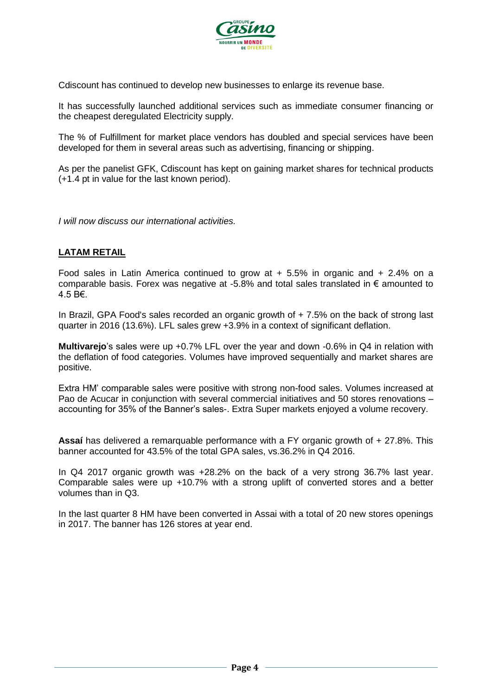

Cdiscount has continued to develop new businesses to enlarge its revenue base.

It has successfully launched additional services such as immediate consumer financing or the cheapest deregulated Electricity supply.

The % of Fulfillment for market place vendors has doubled and special services have been developed for them in several areas such as advertising, financing or shipping.

As per the panelist GFK, Cdiscount has kept on gaining market shares for technical products (+1.4 pt in value for the last known period).

*I will now discuss our international activities.* 

# **LATAM RETAIL**

Food sales in Latin America continued to grow at  $+5.5\%$  in organic and  $+2.4\%$  on a comparable basis. Forex was negative at -5.8% and total sales translated in € amounted to 4.5 B€.

In Brazil, GPA Food's sales recorded an organic growth of  $+ 7.5\%$  on the back of strong last quarter in 2016 (13.6%). LFL sales grew +3.9% in a context of significant deflation.

**Multivarejo**'s sales were up +0.7% LFL over the year and down -0.6% in Q4 in relation with the deflation of food categories. Volumes have improved sequentially and market shares are positive.

Extra HM' comparable sales were positive with strong non-food sales. Volumes increased at Pao de Acucar in conjunction with several commercial initiatives and 50 stores renovations – accounting for 35% of the Banner's sales-. Extra Super markets enjoyed a volume recovery.

**Assaí** has delivered a remarquable performance with a FY organic growth of + 27.8%. This banner accounted for 43.5% of the total GPA sales, vs.36.2% in Q4 2016.

In Q4 2017 organic growth was +28.2% on the back of a very strong 36.7% last year. Comparable sales were up +10.7% with a strong uplift of converted stores and a better volumes than in Q3.

In the last quarter 8 HM have been converted in Assai with a total of 20 new stores openings in 2017. The banner has 126 stores at year end.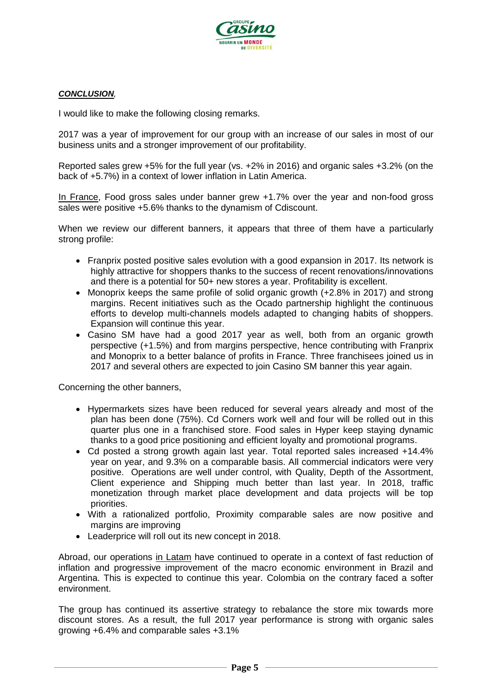

### *CONCLUSION,*

I would like to make the following closing remarks.

2017 was a year of improvement for our group with an increase of our sales in most of our business units and a stronger improvement of our profitability.

Reported sales grew +5% for the full year (vs. +2% in 2016) and organic sales +3.2% (on the back of +5.7%) in a context of lower inflation in Latin America.

In France, Food gross sales under banner grew +1.7% over the year and non-food gross sales were positive +5.6% thanks to the dynamism of Cdiscount.

When we review our different banners, it appears that three of them have a particularly strong profile:

- Franprix posted positive sales evolution with a good expansion in 2017. Its network is highly attractive for shoppers thanks to the success of recent renovations/innovations and there is a potential for 50+ new stores a year. Profitability is excellent.
- Monoprix keeps the same profile of solid organic growth (+2.8% in 2017) and strong margins. Recent initiatives such as the Ocado partnership highlight the continuous efforts to develop multi-channels models adapted to changing habits of shoppers. Expansion will continue this year.
- Casino SM have had a good 2017 year as well, both from an organic growth perspective (+1.5%) and from margins perspective, hence contributing with Franprix and Monoprix to a better balance of profits in France. Three franchisees joined us in 2017 and several others are expected to join Casino SM banner this year again.

Concerning the other banners,

- Hypermarkets sizes have been reduced for several years already and most of the plan has been done (75%). Cd Corners work well and four will be rolled out in this quarter plus one in a franchised store. Food sales in Hyper keep staying dynamic thanks to a good price positioning and efficient loyalty and promotional programs.
- Cd posted a strong growth again last year. Total reported sales increased +14.4% year on year, and 9.3% on a comparable basis. All commercial indicators were very positive. Operations are well under control, with Quality, Depth of the Assortment, Client experience and Shipping much better than last year. In 2018, traffic monetization through market place development and data projects will be top priorities.
- With a rationalized portfolio, Proximity comparable sales are now positive and margins are improving
- Leaderprice will roll out its new concept in 2018.

Abroad, our operations in Latam have continued to operate in a context of fast reduction of inflation and progressive improvement of the macro economic environment in Brazil and Argentina. This is expected to continue this year. Colombia on the contrary faced a softer environment.

The group has continued its assertive strategy to rebalance the store mix towards more discount stores. As a result, the full 2017 year performance is strong with organic sales growing +6.4% and comparable sales +3.1%